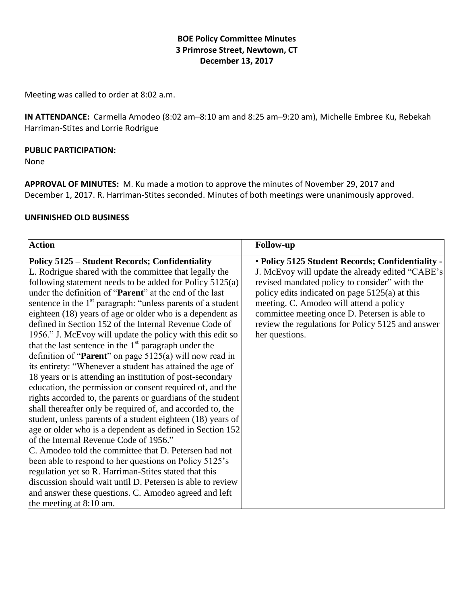### **BOE Policy Committee Minutes 3 Primrose Street, Newtown, CT December 13, 2017**

Meeting was called to order at 8:02 a.m.

**IN ATTENDANCE:** Carmella Amodeo (8:02 am–8:10 am and 8:25 am–9:20 am), Michelle Embree Ku, Rebekah Harriman-Stites and Lorrie Rodrigue

#### **PUBLIC PARTICIPATION:**

None

**APPROVAL OF MINUTES:** M. Ku made a motion to approve the minutes of November 29, 2017 and December 1, 2017. R. Harriman-Stites seconded. Minutes of both meetings were unanimously approved.

#### **UNFINISHED OLD BUSINESS**

| <b>Action</b>                                                           | <b>Follow-up</b>                                  |
|-------------------------------------------------------------------------|---------------------------------------------------|
| Policy 5125 - Student Records; Confidentiality -                        | · Policy 5125 Student Records; Confidentiality -  |
| L. Rodrigue shared with the committee that legally the                  | J. McEvoy will update the already edited "CABE's  |
| following statement needs to be added for Policy 5125(a)                | revised mandated policy to consider" with the     |
| under the definition of " <b>Parent</b> " at the end of the last        | policy edits indicated on page $5125(a)$ at this  |
| sentence in the 1 <sup>st</sup> paragraph: "unless parents of a student | meeting. C. Amodeo will attend a policy           |
| eighteen (18) years of age or older who is a dependent as               | committee meeting once D. Petersen is able to     |
| defined in Section 152 of the Internal Revenue Code of                  | review the regulations for Policy 5125 and answer |
| 1956." J. McEvoy will update the policy with this edit so               | her questions.                                    |
| that the last sentence in the 1 <sup>st</sup> paragraph under the       |                                                   |
| definition of " <b>Parent</b> " on page $5125(a)$ will now read in      |                                                   |
| its entirety: "Whenever a student has attained the age of               |                                                   |
| 18 years or is attending an institution of post-secondary               |                                                   |
| education, the permission or consent required of, and the               |                                                   |
| rights accorded to, the parents or guardians of the student             |                                                   |
| shall thereafter only be required of, and accorded to, the              |                                                   |
| student, unless parents of a student eighteen (18) years of             |                                                   |
| age or older who is a dependent as defined in Section 152               |                                                   |
| of the Internal Revenue Code of 1956."                                  |                                                   |
| C. Amodeo told the committee that D. Petersen had not                   |                                                   |
| been able to respond to her questions on Policy 5125's                  |                                                   |
| regulation yet so R. Harriman-Stites stated that this                   |                                                   |
| discussion should wait until D. Petersen is able to review              |                                                   |
| and answer these questions. C. Amodeo agreed and left                   |                                                   |
| the meeting at $8:10$ am.                                               |                                                   |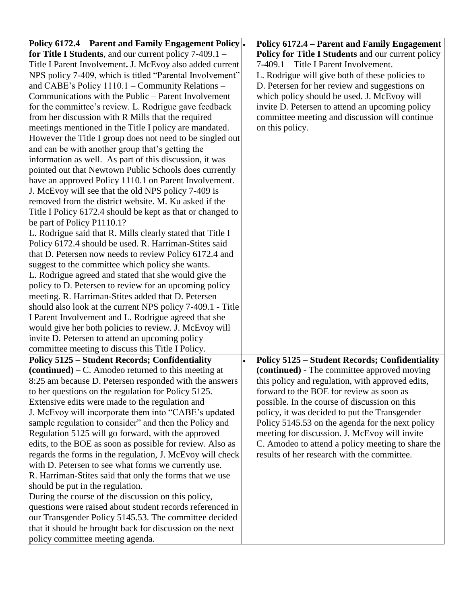| Policy 6172.4 – Parent and Family Engagement Policy .      | Policy 6172.4 – Parent and Family Engagement          |
|------------------------------------------------------------|-------------------------------------------------------|
| for Title I Students, and our current policy $7-409.1 -$   | Policy for Title I Students and our current policy    |
| Title I Parent Involvement. J. McEvoy also added current   | 7-409.1 – Title I Parent Involvement.                 |
| NPS policy 7-409, which is titled "Parental Involvement"   | L. Rodrigue will give both of these policies to       |
| and CABE's Policy 1110.1 - Community Relations -           | D. Petersen for her review and suggestions on         |
| Communications with the Public - Parent Involvement        | which policy should be used. J. McEvoy will           |
| for the committee's review. L. Rodrigue gave feedback      | invite D. Petersen to attend an upcoming policy       |
| from her discussion with R Mills that the required         | committee meeting and discussion will continue        |
| meetings mentioned in the Title I policy are mandated.     | on this policy.                                       |
| However the Title I group does not need to be singled out  |                                                       |
| and can be with another group that's getting the           |                                                       |
| information as well. As part of this discussion, it was    |                                                       |
| pointed out that Newtown Public Schools does currently     |                                                       |
| have an approved Policy 1110.1 on Parent Involvement.      |                                                       |
| J. McEvoy will see that the old NPS policy 7-409 is        |                                                       |
| removed from the district website. M. Ku asked if the      |                                                       |
| Title I Policy 6172.4 should be kept as that or changed to |                                                       |
| be part of Policy P1110.1?                                 |                                                       |
| L. Rodrigue said that R. Mills clearly stated that Title I |                                                       |
| Policy 6172.4 should be used. R. Harriman-Stites said      |                                                       |
| that D. Petersen now needs to review Policy 6172.4 and     |                                                       |
| suggest to the committee which policy she wants.           |                                                       |
| L. Rodrigue agreed and stated that she would give the      |                                                       |
| policy to D. Petersen to review for an upcoming policy     |                                                       |
| meeting. R. Harriman-Stites added that D. Petersen         |                                                       |
| should also look at the current NPS policy 7-409.1 - Title |                                                       |
| I Parent Involvement and L. Rodrigue agreed that she       |                                                       |
| would give her both policies to review. J. McEvoy will     |                                                       |
| invite D. Petersen to attend an upcoming policy            |                                                       |
| committee meeting to discuss this Title I Policy.          |                                                       |
| <b>Policy 5125 - Student Records; Confidentiality</b>      | <b>Policy 5125 - Student Records; Confidentiality</b> |
| $(continued) – C. Amodeo returned to this meeting at$      | (continued) - The committee approved moving           |
| 8:25 am because D. Petersen responded with the answers     | this policy and regulation, with approved edits,      |
| to her questions on the regulation for Policy 5125.        | forward to the BOE for review as soon as              |
| Extensive edits were made to the regulation and            | possible. In the course of discussion on this         |
| J. McEvoy will incorporate them into "CABE's updated       | policy, it was decided to put the Transgender         |
| sample regulation to consider" and then the Policy and     | Policy 5145.53 on the agenda for the next policy      |
| Regulation 5125 will go forward, with the approved         | meeting for discussion. J. McEvoy will invite         |
| edits, to the BOE as soon as possible for review. Also as  | C. Amodeo to attend a policy meeting to share the     |
| regards the forms in the regulation, J. McEvoy will check  | results of her research with the committee.           |
| with D. Petersen to see what forms we currently use.       |                                                       |
| R. Harriman-Stites said that only the forms that we use    |                                                       |
| should be put in the regulation.                           |                                                       |
| During the course of the discussion on this policy,        |                                                       |
| questions were raised about student records referenced in  |                                                       |
| our Transgender Policy 5145.53. The committee decided      |                                                       |
| that it should be brought back for discussion on the next  |                                                       |
| policy committee meeting agenda.                           |                                                       |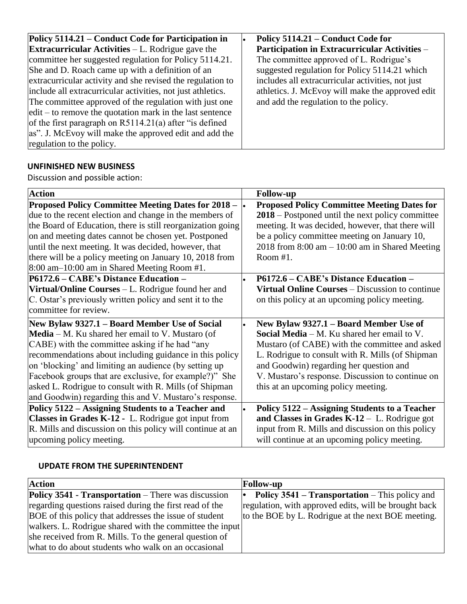| Policy 5114.21 – Conduct Code for Participation in          | Policy 5114.21 – Conduct Code for                 |
|-------------------------------------------------------------|---------------------------------------------------|
| <b>Extracurricular Activities</b> $-L$ . Rodrigue gave the  | Participation in Extracurricular Activities -     |
| committee her suggested regulation for Policy 5114.21.      | The committee approved of L. Rodrigue's           |
| She and D. Roach came up with a definition of an            | suggested regulation for Policy 5114.21 which     |
| extracurricular activity and she revised the regulation to  | includes all extracurricular activities, not just |
| include all extracurricular activities, not just athletics. | athletics. J. McEvoy will make the approved edit  |
| The committee approved of the regulation with just one      | and add the regulation to the policy.             |
| $edit - to remove the quotation mark in the last sentence$  |                                                   |
| of the first paragraph on $R5114.21(a)$ after "is defined"  |                                                   |
| as". J. McEvoy will make the approved edit and add the      |                                                   |
| regulation to the policy.                                   |                                                   |

# **UNFINISHED NEW BUSINESS**

Discussion and possible action:

| <b>Action</b>                                                                | <b>Follow-up</b>                                       |
|------------------------------------------------------------------------------|--------------------------------------------------------|
| <b>Proposed Policy Committee Meeting Dates for 2018 – <math>\cdot</math></b> | <b>Proposed Policy Committee Meeting Dates for</b>     |
| due to the recent election and change in the members of                      | 2018 – Postponed until the next policy committee       |
| the Board of Education, there is still reorganization going                  | meeting. It was decided, however, that there will      |
| on and meeting dates cannot be chosen yet. Postponed                         | be a policy committee meeting on January 10,           |
| until the next meeting. It was decided, however, that                        | 2018 from $8:00$ am $- 10:00$ am in Shared Meeting     |
| there will be a policy meeting on January 10, 2018 from                      | Room #1.                                               |
| 8:00 am-10:00 am in Shared Meeting Room #1.                                  |                                                        |
| P6172.6 - CABE's Distance Education -                                        | P6172.6 – CABE's Distance Education –                  |
| Virtual/Online Courses – L. Rodrigue found her and                           | <b>Virtual Online Courses – Discussion to continue</b> |
| C. Ostar's previously written policy and sent it to the                      | on this policy at an upcoming policy meeting.          |
| committee for review.                                                        |                                                        |
| New Bylaw 9327.1 – Board Member Use of Social                                | New Bylaw 9327.1 – Board Member Use of                 |
| Media – M. Ku shared her email to V. Mustaro (of                             | <b>Social Media</b> $- M$ . Ku shared her email to V.  |
| CABE) with the committee asking if he had "any                               | Mustaro (of CABE) with the committee and asked         |
| recommendations about including guidance in this policy                      | L. Rodrigue to consult with R. Mills (of Shipman       |
| on 'blocking' and limiting an audience (by setting up                        | and Goodwin) regarding her question and                |
| Facebook groups that are exclusive, for example?)" She                       | V. Mustaro's response. Discussion to continue on       |
| asked L. Rodrigue to consult with R. Mills (of Shipman                       | this at an upcoming policy meeting.                    |
| and Goodwin) regarding this and V. Mustaro's response.                       |                                                        |
| Policy 5122 - Assigning Students to a Teacher and                            | Policy 5122 – Assigning Students to a Teacher          |
| Classes in Grades K-12 - L. Rodrigue got input from                          | and Classes in Grades $K-12$ – L. Rodrigue got         |
| R. Mills and discussion on this policy will continue at an                   | input from R. Mills and discussion on this policy      |
| upcoming policy meeting.                                                     | will continue at an upcoming policy meeting.           |

## **UPDATE FROM THE SUPERINTENDENT**

| <b>Action</b>                                              | <b>Follow-up</b>                                             |
|------------------------------------------------------------|--------------------------------------------------------------|
| <b>Policy 3541 - Transportation</b> – There was discussion | <b>Policy 3541 – Transportation – This policy and</b><br>. . |
| regarding questions raised during the first read of the    | regulation, with approved edits, will be brought back        |
| BOE of this policy that addresses the issue of student     | to the BOE by L. Rodrigue at the next BOE meeting.           |
| walkers. L. Rodrigue shared with the committee the input   |                                                              |
| she received from R. Mills. To the general question of     |                                                              |
| what to do about students who walk on an occasional        |                                                              |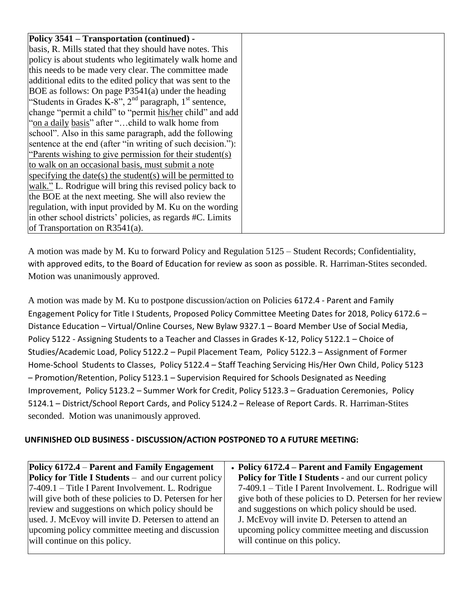| Policy 3541 – Transportation (continued) -                  |  |
|-------------------------------------------------------------|--|
| basis, R. Mills stated that they should have notes. This    |  |
| policy is about students who legitimately walk home and     |  |
| this needs to be made very clear. The committee made        |  |
| additional edits to the edited policy that was sent to the  |  |
| BOE as follows: On page $P3541(a)$ under the heading        |  |
| "Students in Grades K-8", $2nd$ paragraph, $1st$ sentence,  |  |
| change "permit a child" to "permit his/her child" and add   |  |
| "on a daily basis" after "child to walk home from           |  |
| school". Also in this same paragraph, add the following     |  |
| sentence at the end (after "in writing of such decision."): |  |
| "Parents wishing to give permission for their student(s)    |  |
| to walk on an occasional basis, must submit a note          |  |
| specifying the date(s) the student(s) will be permitted to  |  |
| walk." L. Rodrigue will bring this revised policy back to   |  |
| the BOE at the next meeting. She will also review the       |  |
| regulation, with input provided by M. Ku on the wording     |  |
| in other school districts' policies, as regards #C. Limits  |  |
| of Transportation on $R3541(a)$ .                           |  |

A motion was made by M. Ku to forward Policy and Regulation 5125 – Student Records; Confidentiality, with approved edits, to the Board of Education for review as soon as possible. R. Harriman-Stites seconded. Motion was unanimously approved.

A motion was made by M. Ku to postpone discussion/action on Policies 6172.4 - Parent and Family Engagement Policy for Title I Students, Proposed Policy Committee Meeting Dates for 2018, Policy 6172.6 – Distance Education – Virtual/Online Courses, New Bylaw 9327.1 – Board Member Use of Social Media, Policy 5122 - Assigning Students to a Teacher and Classes in Grades K-12, Policy 5122.1 – Choice of Studies/Academic Load, Policy 5122.2 – Pupil Placement Team, Policy 5122.3 – Assignment of Former Home-School Students to Classes, Policy 5122.4 – Staff Teaching Servicing His/Her Own Child, Policy 5123 – Promotion/Retention, Policy 5123.1 – Supervision Required for Schools Designated as Needing Improvement, Policy 5123.2 – Summer Work for Credit, Policy 5123.3 – Graduation Ceremonies, Policy 5124.1 – District/School Report Cards, and Policy 5124.2 – Release of Report Cards. R. Harriman-Stites seconded. Motion was unanimously approved.

## **UNFINISHED OLD BUSINESS - DISCUSSION/ACTION POSTPONED TO A FUTURE MEETING:**

| Policy 6172.4 – Parent and Family Engagement                | • Policy 6172.4 – Parent and Family Engagement              |
|-------------------------------------------------------------|-------------------------------------------------------------|
| <b>Policy for Title I Students</b> – and our current policy | <b>Policy for Title I Students - and our current policy</b> |
| $7-409.1$ – Title I Parent Involvement. L. Rodrigue         | 7-409.1 – Title I Parent Involvement. L. Rodrigue will      |
| will give both of these policies to D. Petersen for her     | give both of these policies to D. Petersen for her review   |
| review and suggestions on which policy should be            | and suggestions on which policy should be used.             |
| used. J. McEvoy will invite D. Petersen to attend an        | J. McEvoy will invite D. Petersen to attend an              |
| upcoming policy committee meeting and discussion            | upcoming policy committee meeting and discussion            |
| will continue on this policy.                               | will continue on this policy.                               |
|                                                             |                                                             |